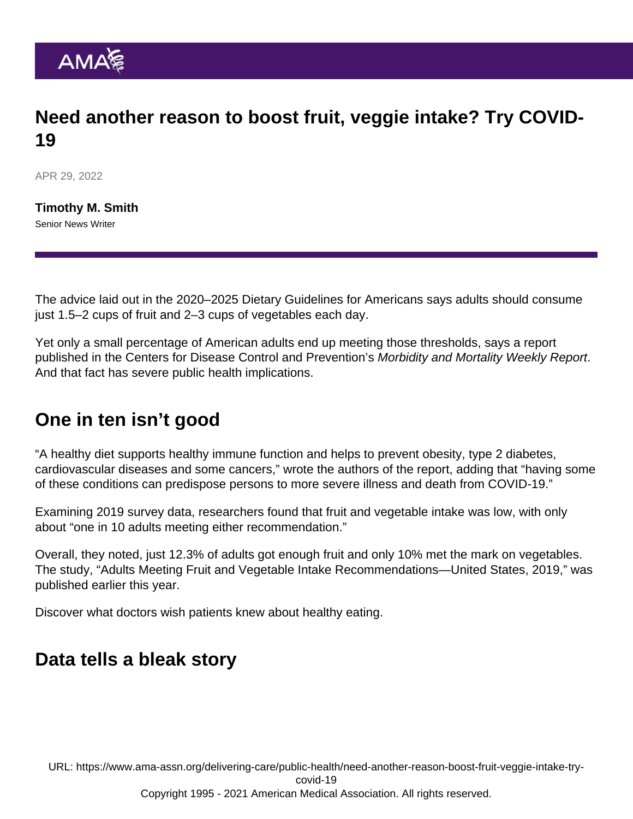## Need another reason to boost fruit, veggie intake? Try COVID-19

APR 29, 2022

[Timothy M. Smith](https://www.ama-assn.org/news-leadership-viewpoints/authors-news-leadership-viewpoints/timothy-m-smith) Senior News Writer

The advice laid out in the 2020–2025 Dietary Guidelines for Americans says adults should consume just 1.5–2 cups of fruit and 2–3 cups of vegetables each day.

Yet only a small percentage of American adults end up meeting those thresholds, says a report published in the Centers for Disease Control and Prevention's Morbidity and Mortality Weekly Report. And that fact has severe public health implications.

## One in ten isn't good

"A healthy diet supports healthy immune function and helps to prevent obesity, type 2 diabetes, cardiovascular diseases and some cancers," wrote the authors of the report, adding that "having some of these conditions can predispose persons to more severe illness and death from COVID-19."

Examining 2019 survey data, researchers found that fruit and vegetable intake was low, with only about "one in 10 adults meeting either recommendation."

Overall, they noted, just 12.3% of adults got enough fruit and only 10% met the mark on vegetables. The study, ["Adults Meeting Fruit and Vegetable Intake Recommendations—United States, 2019,](https://www.cdc.gov/mmwr/volumes/71/wr/mm7101a1.htm)" was published earlier this year.

Discover [what doctors wish patients knew about healthy eating](https://www.ama-assn.org/delivering-care/public-health/what-doctors-wish-patients-knew-about-healthy-eating).

## Data tells a bleak story

URL: [https://www.ama-assn.org/delivering-care/public-health/need-another-reason-boost-fruit-veggie-intake-try](https://www.ama-assn.org/delivering-care/public-health/need-another-reason-boost-fruit-veggie-intake-try-covid-19)[covid-19](https://www.ama-assn.org/delivering-care/public-health/need-another-reason-boost-fruit-veggie-intake-try-covid-19) Copyright 1995 - 2021 American Medical Association. All rights reserved.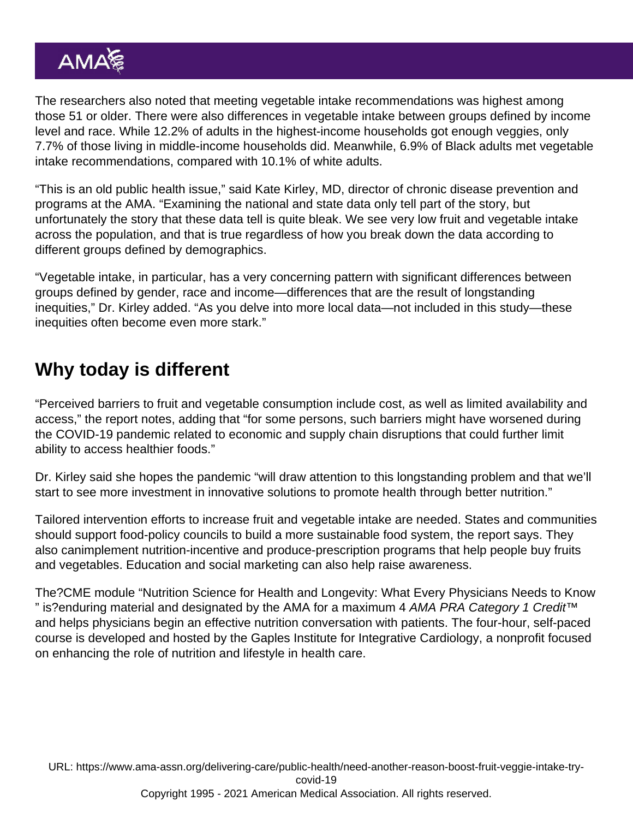The researchers also noted that meeting vegetable intake recommendations was highest among those 51 or older. There were also differences in vegetable intake between groups defined by income level and race. While 12.2% of adults in the highest-income households got enough veggies, only 7.7% of those living in middle-income households did. Meanwhile, 6.9% of Black adults met vegetable intake recommendations, compared with 10.1% of white adults.

"This is an old public health issue," said Kate Kirley, MD, director of chronic disease prevention and programs at the AMA. "Examining the national and state data only tell part of the story, but unfortunately the story that these data tell is quite bleak. We see very low fruit and vegetable intake across the population, and that is true regardless of how you break down the data according to different groups defined by demographics.

"Vegetable intake, in particular, has a very concerning pattern with significant differences between groups defined by gender, race and income—differences that are the result of longstanding inequities," Dr. Kirley added. "As you delve into more local data—not included in this study—these inequities often become even more stark."

## Why today is different

"Perceived barriers to fruit and vegetable consumption include cost, as well as limited availability and access," the report notes, adding that "for some persons, such barriers might have worsened during the COVID-19 pandemic related to economic and supply chain disruptions that could further limit ability to access healthier foods."

Dr. Kirley said she hopes the pandemic "will draw attention to this longstanding problem and that we'll start to see more investment in innovative solutions to promote health through better nutrition."

Tailored intervention efforts to increase fruit and vegetable intake are needed. States and communities should support food-policy councils to build a more sustainable food system, the report says. They also canimplement nutrition-incentive and produce-prescription programs that help people buy fruits and vegetables. Education and social marketing can also help raise awareness.

The?CME module ["Nutrition Science for Health and Longevity: What Every Physicians Needs to Know](https://edhub.ama-assn.org/gaples-institute-ed/provider-referrer/7893) " is?enduring material and designated by the AMA for a maximum 4 AMA PRA Category 1 Credit™ and helps physicians begin an effective nutrition conversation with patients. The four-hour, self-paced course is developed and hosted by the [Gaples Institute for Integrative Cardiology,](https://www.gaplesinstitute.org/) a nonprofit focused on enhancing the role of nutrition and lifestyle in health care.

URL: [https://www.ama-assn.org/delivering-care/public-health/need-another-reason-boost-fruit-veggie-intake-try](https://www.ama-assn.org/delivering-care/public-health/need-another-reason-boost-fruit-veggie-intake-try-covid-19)[covid-19](https://www.ama-assn.org/delivering-care/public-health/need-another-reason-boost-fruit-veggie-intake-try-covid-19) Copyright 1995 - 2021 American Medical Association. All rights reserved.